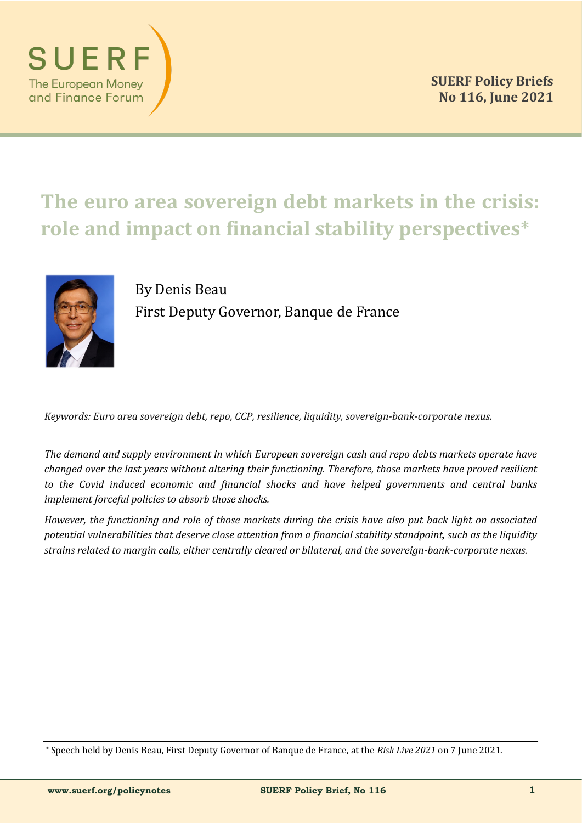

# **The euro area sovereign debt markets in the crisis: role and impact on financial stability perspectives**\*



By Denis Beau First Deputy Governor, Banque de France

*Keywords: Euro area sovereign debt, repo, CCP, resilience, liquidity, sovereign-bank-corporate nexus.*

*The demand and supply environment in which European sovereign cash and repo debts markets operate have changed over the last years without altering their functioning. Therefore, those markets have proved resilient to the Covid induced economic and financial shocks and have helped governments and central banks implement forceful policies to absorb those shocks.* 

*However, the functioning and role of those markets during the crisis have also put back light on associated potential vulnerabilities that deserve close attention from a financial stability standpoint, such as the liquidity strains related to margin calls, either centrally cleared or bilateral, and the sovereign-bank-corporate nexus.* 

<sup>\*</sup> Speech held by Denis Beau, First Deputy Governor of Banque de France, at the *Risk Live 2021* on 7 June 2021.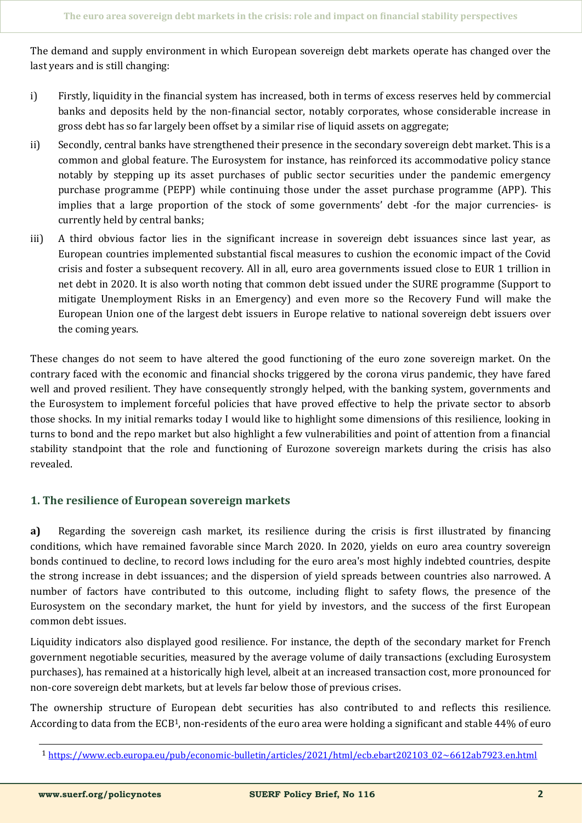The demand and supply environment in which European sovereign debt markets operate has changed over the last years and is still changing:

- i) Firstly, liquidity in the financial system has increased, both in terms of excess reserves held by commercial banks and deposits held by the non-financial sector, notably corporates, whose considerable increase in gross debt has so far largely been offset by a similar rise of liquid assets on aggregate;
- ii) Secondly, central banks have strengthened their presence in the secondary sovereign debt market. This is a common and global feature. The Eurosystem for instance, has reinforced its accommodative policy stance notably by stepping up its asset purchases of public sector securities under the pandemic emergency purchase programme (PEPP) while continuing those under the asset purchase programme (APP). This implies that a large proportion of the stock of some governments' debt -for the major currencies- is currently held by central banks;
- iii) A third obvious factor lies in the significant increase in sovereign debt issuances since last year, as European countries implemented substantial fiscal measures to cushion the economic impact of the Covid crisis and foster a subsequent recovery. All in all, euro area governments issued close to EUR 1 trillion in net debt in 2020. It is also worth noting that common debt issued under the SURE programme (Support to mitigate Unemployment Risks in an Emergency) and even more so the Recovery Fund will make the European Union one of the largest debt issuers in Europe relative to national sovereign debt issuers over the coming years.

These changes do not seem to have altered the good functioning of the euro zone sovereign market. On the contrary faced with the economic and financial shocks triggered by the corona virus pandemic, they have fared well and proved resilient. They have consequently strongly helped, with the banking system, governments and the Eurosystem to implement forceful policies that have proved effective to help the private sector to absorb those shocks. In my initial remarks today I would like to highlight some dimensions of this resilience, looking in turns to bond and the repo market but also highlight a few vulnerabilities and point of attention from a financial stability standpoint that the role and functioning of Eurozone sovereign markets during the crisis has also revealed.

## **1. The resilience of European sovereign markets**

**a)** Regarding the sovereign cash market, its resilience during the crisis is first illustrated by financing conditions, which have remained favorable since March 2020. In 2020, yields on euro area country sovereign bonds continued to decline, to record lows including for the euro area's most highly indebted countries, despite the strong increase in debt issuances; and the dispersion of yield spreads between countries also narrowed. A number of factors have contributed to this outcome, including flight to safety flows, the presence of the Eurosystem on the secondary market, the hunt for yield by investors, and the success of the first European common debt issues.

Liquidity indicators also displayed good resilience. For instance, the depth of the secondary market for French government negotiable securities, measured by the average volume of daily transactions (excluding Eurosystem purchases), has remained at a historically high level, albeit at an increased transaction cost, more pronounced for non-core sovereign debt markets, but at levels far below those of previous crises.

The ownership structure of European debt securities has also contributed to and reflects this resilience. According to data from the ECB1, non-residents of the euro area were holding a significant and stable 44% of euro

<sup>1</sup> https://www.ecb.europa.eu/pub/economic-[bulletin/articles/2021/html/ecb.ebart202103\\_02~6612ab7923.en.html](https://www.ecb.europa.eu/pub/economic-bulletin/articles/2021/html/ecb.ebart202103_02~6612ab7923.en.html)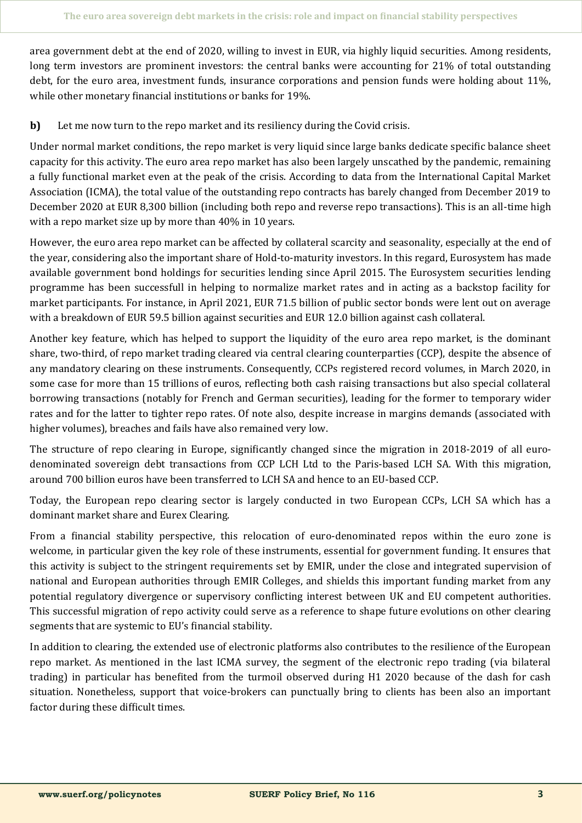area government debt at the end of 2020, willing to invest in EUR, via highly liquid securities. Among residents, long term investors are prominent investors: the central banks were accounting for 21% of total outstanding debt, for the euro area, investment funds, insurance corporations and pension funds were holding about 11%, while other monetary financial institutions or banks for 19%.

**b)** Let me now turn to the repo market and its resiliency during the Covid crisis.

Under normal market conditions, the repo market is very liquid since large banks dedicate specific balance sheet capacity for this activity. The euro area repo market has also been largely unscathed by the pandemic, remaining a fully functional market even at the peak of the crisis. According to data from the International Capital Market Association (ICMA), the total value of the outstanding repo contracts has barely changed from December 2019 to December 2020 at EUR 8,300 billion (including both repo and reverse repo transactions). This is an all-time high with a repo market size up by more than 40% in 10 years.

However, the euro area repo market can be affected by collateral scarcity and seasonality, especially at the end of the year, considering also the important share of Hold-to-maturity investors. In this regard, Eurosystem has made available government bond holdings for securities lending since April 2015. The Eurosystem securities lending programme has been successfull in helping to normalize market rates and in acting as a backstop facility for market participants. For instance, in April 2021, EUR 71.5 billion of public sector bonds were lent out on average with a breakdown of EUR 59.5 billion against securities and EUR 12.0 billion against cash collateral.

Another key feature, which has helped to support the liquidity of the euro area repo market, is the dominant share, two-third, of repo market trading cleared via central clearing counterparties (CCP), despite the absence of any mandatory clearing on these instruments. Consequently, CCPs registered record volumes, in March 2020, in some case for more than 15 trillions of euros, reflecting both cash raising transactions but also special collateral borrowing transactions (notably for French and German securities), leading for the former to temporary wider rates and for the latter to tighter repo rates. Of note also, despite increase in margins demands (associated with higher volumes), breaches and fails have also remained very low.

The structure of repo clearing in Europe, significantly changed since the migration in 2018-2019 of all eurodenominated sovereign debt transactions from CCP LCH Ltd to the Paris-based LCH SA. With this migration, around 700 billion euros have been transferred to LCH SA and hence to an EU-based CCP.

Today, the European repo clearing sector is largely conducted in two European CCPs, LCH SA which has a dominant market share and Eurex Clearing.

From a financial stability perspective, this relocation of euro-denominated repos within the euro zone is welcome, in particular given the key role of these instruments, essential for government funding. It ensures that this activity is subject to the stringent requirements set by EMIR, under the close and integrated supervision of national and European authorities through EMIR Colleges, and shields this important funding market from any potential regulatory divergence or supervisory conflicting interest between UK and EU competent authorities. This successful migration of repo activity could serve as a reference to shape future evolutions on other clearing segments that are systemic to EU's financial stability.

In addition to clearing, the extended use of electronic platforms also contributes to the resilience of the European repo market. As mentioned in the last ICMA survey, the segment of the electronic repo trading (via bilateral trading) in particular has benefited from the turmoil observed during H1 2020 because of the dash for cash situation. Nonetheless, support that voice-brokers can punctually bring to clients has been also an important factor during these difficult times.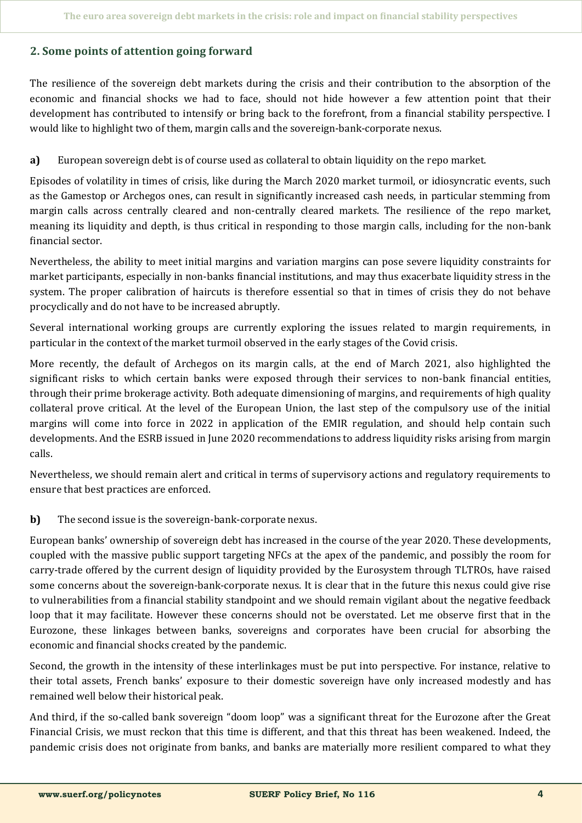## **2. Some points of attention going forward**

The resilience of the sovereign debt markets during the crisis and their contribution to the absorption of the economic and financial shocks we had to face, should not hide however a few attention point that their development has contributed to intensify or bring back to the forefront, from a financial stability perspective. I would like to highlight two of them, margin calls and the sovereign-bank-corporate nexus.

## **a)** European sovereign debt is of course used as collateral to obtain liquidity on the repo market.

Episodes of volatility in times of crisis, like during the March 2020 market turmoil, or idiosyncratic events, such as the Gamestop or Archegos ones, can result in significantly increased cash needs, in particular stemming from margin calls across centrally cleared and non-centrally cleared markets. The resilience of the repo market, meaning its liquidity and depth, is thus critical in responding to those margin calls, including for the non-bank financial sector.

Nevertheless, the ability to meet initial margins and variation margins can pose severe liquidity constraints for market participants, especially in non-banks financial institutions, and may thus exacerbate liquidity stress in the system. The proper calibration of haircuts is therefore essential so that in times of crisis they do not behave procyclically and do not have to be increased abruptly.

Several international working groups are currently exploring the issues related to margin requirements, in particular in the context of the market turmoil observed in the early stages of the Covid crisis.

More recently, the default of Archegos on its margin calls, at the end of March 2021, also highlighted the significant risks to which certain banks were exposed through their services to non-bank financial entities, through their prime brokerage activity. Both adequate dimensioning of margins, and requirements of high quality collateral prove critical. At the level of the European Union, the last step of the compulsory use of the initial margins will come into force in 2022 in application of the EMIR regulation, and should help contain such developments. And the ESRB issued in June 2020 recommendations to address liquidity risks arising from margin calls.

Nevertheless, we should remain alert and critical in terms of supervisory actions and regulatory requirements to ensure that best practices are enforced.

## **b)** The second issue is the sovereign-bank-corporate nexus.

European banks' ownership of sovereign debt has increased in the course of the year 2020. These developments, coupled with the massive public support targeting NFCs at the apex of the pandemic, and possibly the room for carry-trade offered by the current design of liquidity provided by the Eurosystem through TLTROs, have raised some concerns about the sovereign-bank-corporate nexus. It is clear that in the future this nexus could give rise to vulnerabilities from a financial stability standpoint and we should remain vigilant about the negative feedback loop that it may facilitate. However these concerns should not be overstated. Let me observe first that in the Eurozone, these linkages between banks, sovereigns and corporates have been crucial for absorbing the economic and financial shocks created by the pandemic.

Second, the growth in the intensity of these interlinkages must be put into perspective. For instance, relative to their total assets, French banks' exposure to their domestic sovereign have only increased modestly and has remained well below their historical peak.

And third, if the so-called bank sovereign "doom loop" was a significant threat for the Eurozone after the Great Financial Crisis, we must reckon that this time is different, and that this threat has been weakened. Indeed, the pandemic crisis does not originate from banks, and banks are materially more resilient compared to what they